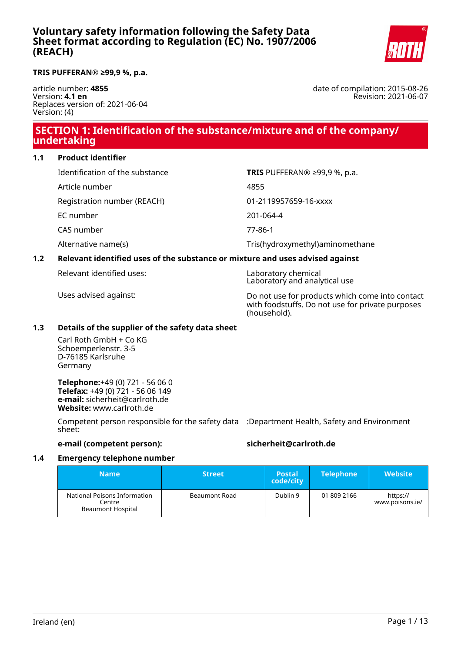

#### **TRIS PUFFERAN® ≥99,9 %, p.a.**

article number: **4855** Version: **4.1 en** Replaces version of: 2021-06-04 Version: (4)

date of compilation: 2015-08-26 Revision: 2021-06-07

# **SECTION 1: Identification of the substance/mixture and of the company/ undertaking**

#### **1.1 Product identifier**

| Identification of the substance | <b>TRIS</b> PUFFERAN® $\geq$ 99,9 %, p.a. |
|---------------------------------|-------------------------------------------|
| Article number                  | 4855                                      |
| Registration number (REACH)     | 01-2119957659-16-xxxx                     |
| EC number                       | 201-064-4                                 |
| CAS number                      | 77-86-1                                   |
| Alternative name(s)             | Tris(hydroxymethyl)aminomethane           |

### **1.2 Relevant identified uses of the substance or mixture and uses advised against**

Relevant identified uses: Laboratory chemical

Laboratory and analytical use

Uses advised against: Do not use for products which come into contact with foodstuffs. Do not use for private purposes (household).

### **1.3 Details of the supplier of the safety data sheet**

Carl Roth GmbH + Co KG Schoemperlenstr. 3-5 D-76185 Karlsruhe Germany

**Telephone:**+49 (0) 721 - 56 06 0 **Telefax:** +49 (0) 721 - 56 06 149 **e-mail:** sicherheit@carlroth.de **Website:** www.carlroth.de

Competent person responsible for the safety data :Department Health, Safety and Environment sheet:

**e-mail (competent person): sicherheit@carlroth.de**

#### **1.4 Emergency telephone number**

| <b>Name</b>                                                 | <b>Street</b> | <b>Postal</b><br>code/city | <b>Telephone</b> | <b>Website</b>              |
|-------------------------------------------------------------|---------------|----------------------------|------------------|-----------------------------|
| National Poisons Information<br>Centre<br>Beaumont Hospital | Beaumont Road | Dublin 9                   | 01 809 2166      | https://<br>www.poisons.ie/ |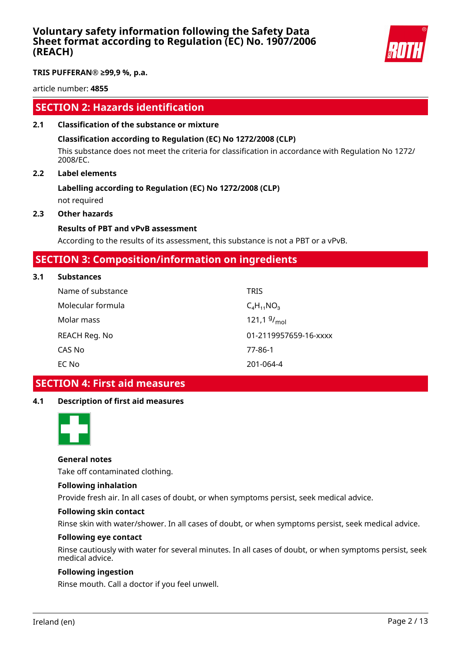

**TRIS PUFFERAN® ≥99,9 %, p.a.**

article number: **4855**

# **SECTION 2: Hazards identification**

### **2.1 Classification of the substance or mixture**

### **Classification according to Regulation (EC) No 1272/2008 (CLP)**

This substance does not meet the criteria for classification in accordance with Regulation No 1272/ 2008/EC.

### **2.2 Label elements**

# **Labelling according to Regulation (EC) No 1272/2008 (CLP)**

not required

### **2.3 Other hazards**

#### **Results of PBT and vPvB assessment**

According to the results of its assessment, this substance is not a PBT or a vPvB.

### **SECTION 3: Composition/information on ingredients**

#### **3.1 Substances**

| Name of substance | <b>TRIS</b>           |
|-------------------|-----------------------|
| Molecular formula | $C_4H_{11}NO_3$       |
| Molar mass        | 121,1 $9/_{mol}$      |
| REACH Reg. No     | 01-2119957659-16-xxxx |
| CAS No            | 77-86-1               |
| EC No             | 201-064-4             |

# **SECTION 4: First aid measures**

### **4.1 Description of first aid measures**



#### **General notes**

Take off contaminated clothing.

#### **Following inhalation**

Provide fresh air. In all cases of doubt, or when symptoms persist, seek medical advice.

#### **Following skin contact**

Rinse skin with water/shower. In all cases of doubt, or when symptoms persist, seek medical advice.

#### **Following eye contact**

Rinse cautiously with water for several minutes. In all cases of doubt, or when symptoms persist, seek medical advice.

#### **Following ingestion**

Rinse mouth. Call a doctor if you feel unwell.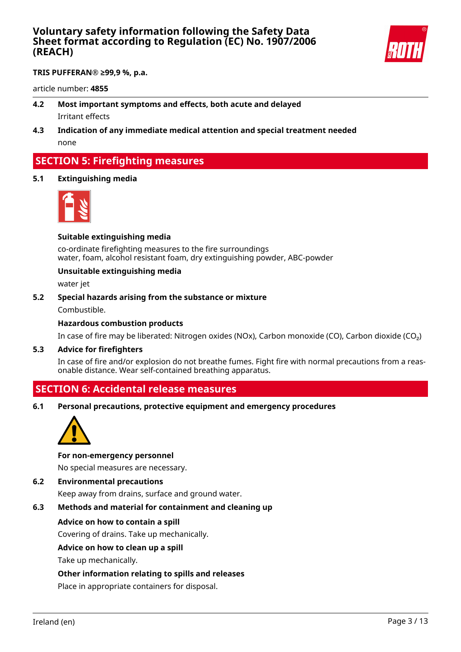

**TRIS PUFFERAN® ≥99,9 %, p.a.**

article number: **4855**

- **4.2 Most important symptoms and effects, both acute and delayed** Irritant effects
- **4.3 Indication of any immediate medical attention and special treatment needed** none

# **SECTION 5: Firefighting measures**

**5.1 Extinguishing media**



#### **Suitable extinguishing media**

co-ordinate firefighting measures to the fire surroundings water, foam, alcohol resistant foam, dry extinguishing powder, ABC-powder

#### **Unsuitable extinguishing media**

water jet

**5.2 Special hazards arising from the substance or mixture**

Combustible.

### **Hazardous combustion products**

In case of fire may be liberated: Nitrogen oxides (NOx), Carbon monoxide (CO), Carbon dioxide (CO₂)

#### **5.3 Advice for firefighters**

In case of fire and/or explosion do not breathe fumes. Fight fire with normal precautions from a reasonable distance. Wear self-contained breathing apparatus.

### **SECTION 6: Accidental release measures**

**6.1 Personal precautions, protective equipment and emergency procedures**



#### **For non-emergency personnel**

No special measures are necessary.

#### **6.2 Environmental precautions**

Keep away from drains, surface and ground water.

#### **6.3 Methods and material for containment and cleaning up**

#### **Advice on how to contain a spill**

Covering of drains. Take up mechanically.

#### **Advice on how to clean up a spill**

Take up mechanically.

#### **Other information relating to spills and releases**

Place in appropriate containers for disposal.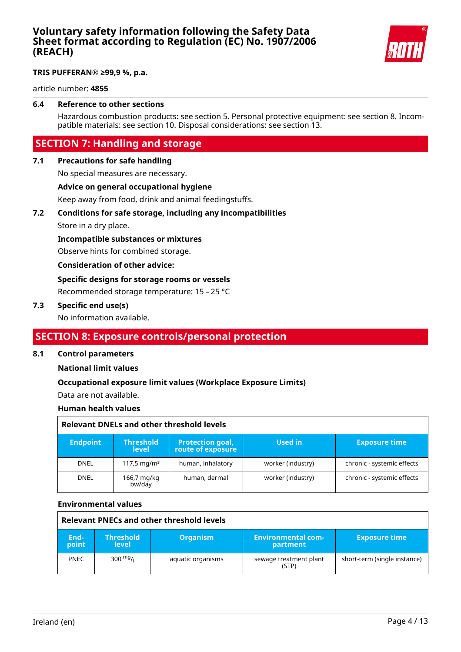

### **TRIS PUFFERAN® ≥99,9 %, p.a.**

article number: **4855**

### **6.4 Reference to other sections**

Hazardous combustion products: see section 5. Personal protective equipment: see section 8. Incompatible materials: see section 10. Disposal considerations: see section 13.

# **SECTION 7: Handling and storage**

### **7.1 Precautions for safe handling**

No special measures are necessary.

#### **Advice on general occupational hygiene**

Keep away from food, drink and animal feedingstuffs.

#### **7.2 Conditions for safe storage, including any incompatibilities**

Store in a dry place.

#### **Incompatible substances or mixtures**

Observe hints for combined storage.

#### **Consideration of other advice:**

### **Specific designs for storage rooms or vessels**

Recommended storage temperature: 15 – 25 °C

#### **7.3 Specific end use(s)**

No information available.

# **SECTION 8: Exposure controls/personal protection**

#### **8.1 Control parameters**

#### **National limit values**

#### **Occupational exposure limit values (Workplace Exposure Limits)**

Data are not available.

#### **Human health values**

|                 | Relevant DNELs and other threshold levels |                                              |                   |                            |  |
|-----------------|-------------------------------------------|----------------------------------------------|-------------------|----------------------------|--|
| <b>Endpoint</b> | <b>Threshold</b><br>level:                | <b>Protection goal,</b><br>route of exposure | Used in           | <b>Exposure time</b>       |  |
| <b>DNEL</b>     | 117,5 mg/m <sup>3</sup>                   | human, inhalatory                            | worker (industry) | chronic - systemic effects |  |
| <b>DNEL</b>     | 166,7 mg/kg<br>bw/day                     | human, dermal                                | worker (industry) | chronic - systemic effects |  |

#### **Environmental values**

| Relevant PNECs and other threshold levels |                                  |                   |                                       |                              |
|-------------------------------------------|----------------------------------|-------------------|---------------------------------------|------------------------------|
| End-<br>point                             | <b>Threshold</b><br><b>level</b> | <b>Organism</b>   | <b>Environmental com-</b><br>partment | <b>Exposure time</b>         |
| <b>PNEC</b>                               | 300 $mg/1$                       | aquatic organisms | sewage treatment plant<br>(STP)       | short-term (single instance) |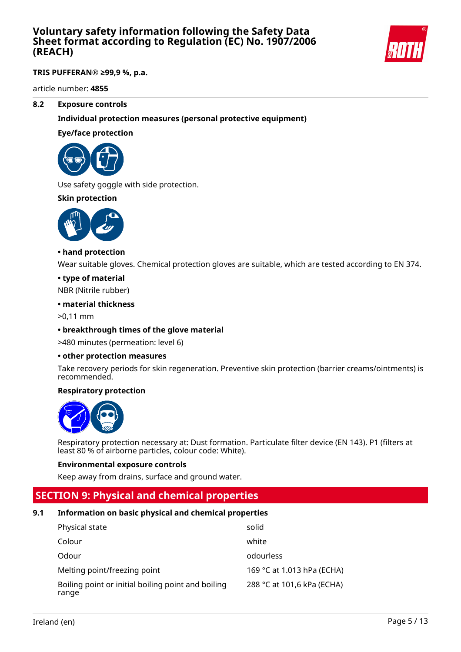

### **TRIS PUFFERAN® ≥99,9 %, p.a.**

article number: **4855**

#### **8.2 Exposure controls**

### **Individual protection measures (personal protective equipment)**

#### **Eye/face protection**



Use safety goggle with side protection.

### **Skin protection**



#### **• hand protection**

Wear suitable gloves. Chemical protection gloves are suitable, which are tested according to EN 374.

#### **• type of material**

NBR (Nitrile rubber)

#### **• material thickness**

>0,11 mm

#### **• breakthrough times of the glove material**

>480 minutes (permeation: level 6)

#### **• other protection measures**

Take recovery periods for skin regeneration. Preventive skin protection (barrier creams/ointments) is recommended.

#### **Respiratory protection**



Respiratory protection necessary at: Dust formation. Particulate filter device (EN 143). P1 (filters at least 80 % of airborne particles, colour code: White).

#### **Environmental exposure controls**

Keep away from drains, surface and ground water.

# **SECTION 9: Physical and chemical properties**

#### **9.1 Information on basic physical and chemical properties**

| Physical state                                              | solid                      |
|-------------------------------------------------------------|----------------------------|
| Colour                                                      | white                      |
| Odour                                                       | odourless                  |
| Melting point/freezing point                                | 169 °C at 1.013 hPa (ECHA) |
| Boiling point or initial boiling point and boiling<br>range | 288 °C at 101,6 kPa (ECHA) |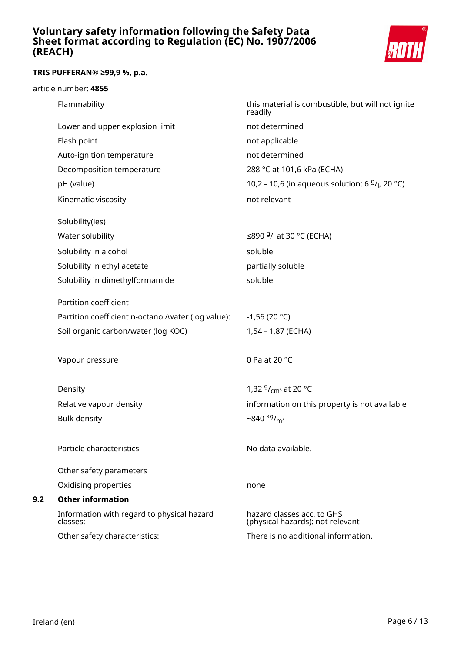

### **TRIS PUFFERAN® ≥99,9 %, p.a.**

#### article number: **4855**

|     | Flammability                                           | this material is combustible, but will not ignite<br>readily   |
|-----|--------------------------------------------------------|----------------------------------------------------------------|
|     | Lower and upper explosion limit                        | not determined                                                 |
|     | Flash point                                            | not applicable                                                 |
|     | Auto-ignition temperature                              | not determined                                                 |
|     | Decomposition temperature                              | 288 °C at 101,6 kPa (ECHA)                                     |
|     | pH (value)                                             | 10,2 – 10,6 (in aqueous solution: 6 $9/1$ , 20 °C)             |
|     | Kinematic viscosity                                    | not relevant                                                   |
|     | Solubility(ies)                                        |                                                                |
|     | Water solubility                                       | ≤890 $9/$ <sub>1</sub> at 30 °C (ECHA)                         |
|     | Solubility in alcohol                                  | soluble                                                        |
|     | Solubility in ethyl acetate                            | partially soluble                                              |
|     | Solubility in dimethylformamide                        | soluble                                                        |
|     | Partition coefficient                                  |                                                                |
|     | Partition coefficient n-octanol/water (log value):     | $-1,56(20 °C)$                                                 |
|     | Soil organic carbon/water (log KOC)                    | 1,54 - 1,87 (ECHA)                                             |
|     | Vapour pressure                                        | 0 Pa at 20 °C                                                  |
|     | Density                                                | 1,32 $9/_{cm^3}$ at 20 °C                                      |
|     | Relative vapour density                                | information on this property is not available                  |
|     | <b>Bulk density</b>                                    | $-840$ kg/ <sub>m<sup>3</sup></sub>                            |
|     | Particle characteristics                               | No data available.                                             |
|     | Other safety parameters                                |                                                                |
|     | Oxidising properties                                   | none                                                           |
| 9.2 | <b>Other information</b>                               |                                                                |
|     | Information with regard to physical hazard<br>classes: | hazard classes acc. to GHS<br>(physical hazards): not relevant |
|     | Other safety characteristics:                          | There is no additional information.                            |
|     |                                                        |                                                                |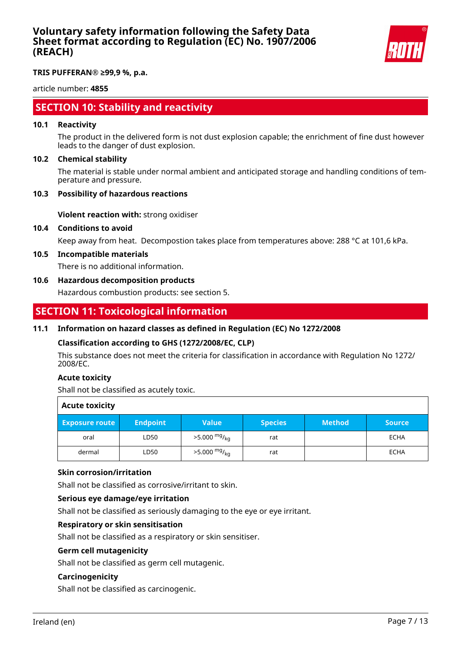

**TRIS PUFFERAN® ≥99,9 %, p.a.**

article number: **4855**

# **SECTION 10: Stability and reactivity**

#### **10.1 Reactivity**

The product in the delivered form is not dust explosion capable; the enrichment of fine dust however leads to the danger of dust explosion.

#### **10.2 Chemical stability**

The material is stable under normal ambient and anticipated storage and handling conditions of temperature and pressure.

#### **10.3 Possibility of hazardous reactions**

**Violent reaction with:** strong oxidiser

#### **10.4 Conditions to avoid**

Keep away from heat. Decompostion takes place from temperatures above: 288 °C at 101,6 kPa.

#### **10.5 Incompatible materials**

There is no additional information.

#### **10.6 Hazardous decomposition products**

Hazardous combustion products: see section 5.

### **SECTION 11: Toxicological information**

#### **11.1 Information on hazard classes as defined in Regulation (EC) No 1272/2008**

#### **Classification according to GHS (1272/2008/EC, CLP)**

This substance does not meet the criteria for classification in accordance with Regulation No 1272/ 2008/EC.

#### **Acute toxicity**

Shall not be classified as acutely toxic.

| <b>Acute toxicity</b> |                 |                            |                |               |               |
|-----------------------|-----------------|----------------------------|----------------|---------------|---------------|
| <b>Exposure route</b> | <b>Endpoint</b> | <b>Value</b>               | <b>Species</b> | <b>Method</b> | <b>Source</b> |
| oral                  | LD50            | $>5.000 \frac{mg}{ka}$     | rat            |               | <b>ECHA</b>   |
| dermal                | LD50            | $>5.000$ mg/ <sub>ka</sub> | rat            |               | <b>ECHA</b>   |

#### **Skin corrosion/irritation**

Shall not be classified as corrosive/irritant to skin.

#### **Serious eye damage/eye irritation**

Shall not be classified as seriously damaging to the eye or eye irritant.

### **Respiratory or skin sensitisation**

Shall not be classified as a respiratory or skin sensitiser.

#### **Germ cell mutagenicity**

Shall not be classified as germ cell mutagenic.

#### **Carcinogenicity**

Shall not be classified as carcinogenic.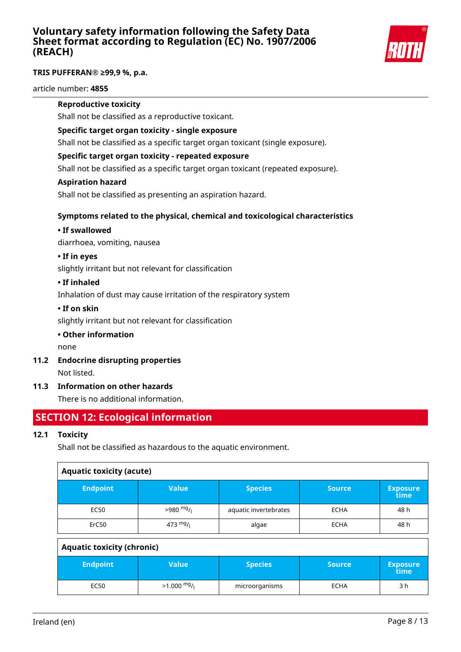

### **TRIS PUFFERAN® ≥99,9 %, p.a.**

article number: **4855**

### **Reproductive toxicity**

Shall not be classified as a reproductive toxicant.

### **Specific target organ toxicity - single exposure**

Shall not be classified as a specific target organ toxicant (single exposure).

### **Specific target organ toxicity - repeated exposure**

Shall not be classified as a specific target organ toxicant (repeated exposure).

#### **Aspiration hazard**

Shall not be classified as presenting an aspiration hazard.

### **Symptoms related to the physical, chemical and toxicological characteristics**

### **• If swallowed**

diarrhoea, vomiting, nausea

### **• If in eyes**

slightly irritant but not relevant for classification

### **• If inhaled**

Inhalation of dust may cause irritation of the respiratory system

### **• If on skin**

slightly irritant but not relevant for classification

### **• Other information**

none

**11.2 Endocrine disrupting properties**

Not listed.

### **11.3 Information on other hazards**

There is no additional information.

# **SECTION 12: Ecological information**

### **12.1 Toxicity**

Shall not be classified as hazardous to the aquatic environment.

| <b>Aquatic toxicity (acute)</b> |                    |                       |               |                         |
|---------------------------------|--------------------|-----------------------|---------------|-------------------------|
| <b>Endpoint</b>                 | <b>Value</b>       | <b>Species</b>        | <b>Source</b> | <b>Exposure</b><br>time |
| EC50                            | $>980$ mg/         | aquatic invertebrates | <b>ECHA</b>   | 48 h                    |
| ErC <sub>50</sub>               | $473 \frac{mg}{l}$ | algae                 | <b>ECHA</b>   | 48 h                    |

| <b>Aquatic toxicity (chronic)</b> |              |                |                 |                         |
|-----------------------------------|--------------|----------------|-----------------|-------------------------|
| <b>Endpoint</b>                   | <b>Value</b> | <b>Species</b> | Source <b>\</b> | <b>Exposure</b><br>time |
| EC50                              | $>1.000$ mg/ | microorganisms | <b>ECHA</b>     | 3 h                     |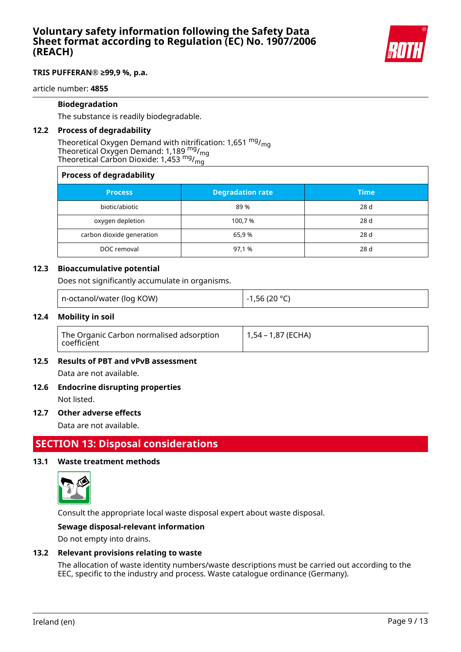

#### **TRIS PUFFERAN® ≥99,9 %, p.a.**

article number: **4855**

#### **Biodegradation**

The substance is readily biodegradable.

#### **12.2 Process of degradability**

Theoretical Oxygen Demand with nitrification: 1,651  $mg/m<sub>on</sub>$ Theoretical Oxygen Demand: 1,189 mg/mg Theoretical Carbon Dioxide: 1,453  $mg/m<sub>m</sub>$ 

### **Process of degradability**

| <b>Process</b>            | <b>Degradation rate</b> | <b>Time</b> |
|---------------------------|-------------------------|-------------|
| biotic/abiotic            | 89 %                    | 28 d        |
| oxygen depletion          | 100,7 %                 | 28 d        |
| carbon dioxide generation | 65,9%                   | 28 d        |
| DOC removal               | 97,1 %                  | 28 d        |

#### **12.3 Bioaccumulative potential**

Does not significantly accumulate in organisms.

| n-octanol/water (log KOW) | l -1,56 (20 °C) |
|---------------------------|-----------------|
|---------------------------|-----------------|

#### **12.4 Mobility in soil**

| The Organic Carbon normalised adsorption<br>coefficient | 1,54 – 1,87 (ECHA) |
|---------------------------------------------------------|--------------------|
|---------------------------------------------------------|--------------------|

#### **12.5 Results of PBT and vPvB assessment**

Data are not available.

# **12.6 Endocrine disrupting properties**

Not listed.

#### **12.7 Other adverse effects**

Data are not available.

# **SECTION 13: Disposal considerations**

#### **13.1 Waste treatment methods**



Consult the appropriate local waste disposal expert about waste disposal.

#### **Sewage disposal-relevant information**

Do not empty into drains.

#### **13.2 Relevant provisions relating to waste**

The allocation of waste identity numbers/waste descriptions must be carried out according to the EEC, specific to the industry and process. Waste catalogue ordinance (Germany).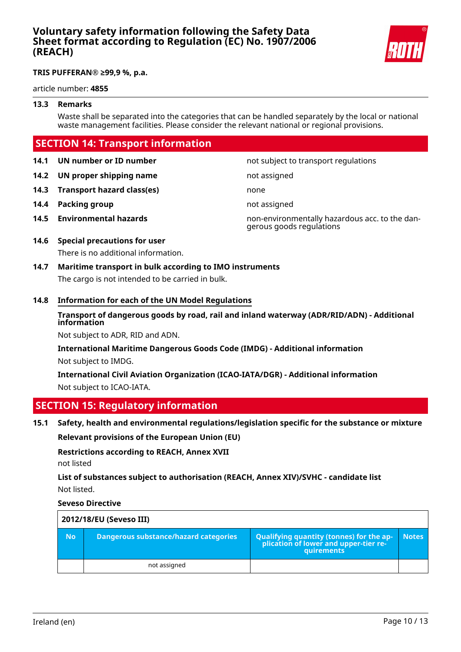

#### **TRIS PUFFERAN® ≥99,9 %, p.a.**

article number: **4855**

#### **13.3 Remarks**

Waste shall be separated into the categories that can be handled separately by the local or national waste management facilities. Please consider the relevant national or regional provisions.

# **SECTION 14: Transport information**

**14.1 UN number or ID number not subject to transport regulations** 

**14.2 UN proper shipping name** not assigned

- **14.3 Transport hazard class(es)** none
- **14.4 Packing group not assigned**
- 

**14.5 Environmental hazards** non-environmentally hazardous acc. to the dangerous goods regulations

# **14.6 Special precautions for user**

There is no additional information.

# **14.7 Maritime transport in bulk according to IMO instruments** The cargo is not intended to be carried in bulk.

### **14.8 Information for each of the UN Model Regulations**

**Transport of dangerous goods by road, rail and inland waterway (ADR/RID/ADN) - Additional information**

Not subject to ADR, RID and ADN.

**International Maritime Dangerous Goods Code (IMDG) - Additional information** Not subject to IMDG.

**International Civil Aviation Organization (ICAO-IATA/DGR) - Additional information** Not subject to ICAO-IATA.

# **SECTION 15: Regulatory information**

**15.1 Safety, health and environmental regulations/legislation specific for the substance or mixture**

**Relevant provisions of the European Union (EU)**

**Restrictions according to REACH, Annex XVII** not listed

**List of substances subject to authorisation (REACH, Annex XIV)/SVHC - candidate list** Not listed.

**Seveso Directive**

| 2012/18/EU (Seveso III) |                                       |                                                                                                                                            |              |
|-------------------------|---------------------------------------|--------------------------------------------------------------------------------------------------------------------------------------------|--------------|
| <b>No</b>               | Dangerous substance/hazard categories | Qualifying quantity (tonnes) for the ap-<br>$\mathop{\mathsf{p}}$ lication of lower and upper-tier re- $\mathop{\mathsf{p}}$<br>quirements | <b>Notes</b> |
|                         | not assigned                          |                                                                                                                                            |              |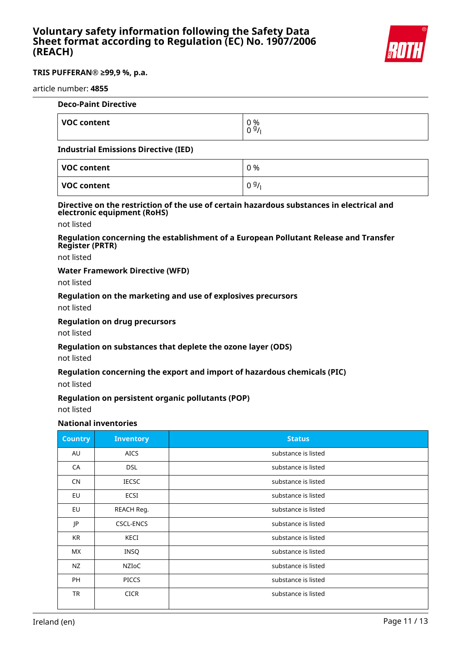

#### **TRIS PUFFERAN® ≥99,9 %, p.a.**

#### article number: **4855**

| <b>Deco-Paint Directive</b>                 |            |
|---------------------------------------------|------------|
| <b>VOC content</b>                          | 0 %<br>097 |
| <b>Industrial Emissions Directive (IED)</b> |            |

| VOC content | 0 % |
|-------------|-----|
| VOC content | 09/ |

#### **Directive on the restriction of the use of certain hazardous substances in electrical and electronic equipment (RoHS)**

not listed

#### **Regulation concerning the establishment of a European Pollutant Release and Transfer Register (PRTR)**

not listed

### **Water Framework Directive (WFD)**

not listed

### **Regulation on the marketing and use of explosives precursors**

not listed

#### **Regulation on drug precursors**

not listed

#### **Regulation on substances that deplete the ozone layer (ODS)**

not listed

#### **Regulation concerning the export and import of hazardous chemicals (PIC)**

not listed

#### **Regulation on persistent organic pollutants (POP)**

not listed

### **National inventories**

| <b>Country</b> | <b>Inventory</b> | <b>Status</b>       |
|----------------|------------------|---------------------|
| AU             | <b>AICS</b>      | substance is listed |
| CA             | <b>DSL</b>       | substance is listed |
| <b>CN</b>      | <b>IECSC</b>     | substance is listed |
| EU             | ECSI             | substance is listed |
| EU             | REACH Reg.       | substance is listed |
| JP             | <b>CSCL-ENCS</b> | substance is listed |
| KR             | KECI             | substance is listed |
| <b>MX</b>      | INSQ             | substance is listed |
| NZ             | NZIoC            | substance is listed |
| PH             | <b>PICCS</b>     | substance is listed |
| TR             | <b>CICR</b>      | substance is listed |
|                |                  |                     |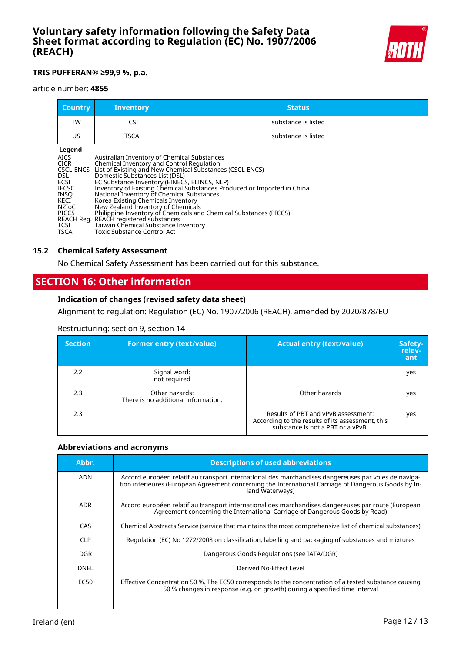

### **TRIS PUFFERAN® ≥99,9 %, p.a.**

#### article number: **4855**

| <b>Country</b> | <b>Inventory</b> | <b>Status</b>       |
|----------------|------------------|---------------------|
| TW             | TCSI             | substance is listed |
| US             | <b>TSCA</b>      | substance is listed |

### **Legend**

| Inventory of Existing Chemical Substances Produced or Imported in China |
|-------------------------------------------------------------------------|
|                                                                         |
|                                                                         |
|                                                                         |
|                                                                         |
|                                                                         |
|                                                                         |
|                                                                         |
|                                                                         |

### **15.2 Chemical Safety Assessment**

No Chemical Safety Assessment has been carried out for this substance.

# **SECTION 16: Other information**

### **Indication of changes (revised safety data sheet)**

Alignment to regulation: Regulation (EC) No. 1907/2006 (REACH), amended by 2020/878/EU

#### Restructuring: section 9, section 14

| <b>Section</b> | <b>Former entry (text/value)</b>                      | <b>Actual entry (text/value)</b>                                                                                             | Safety-<br>relev-<br>ant |
|----------------|-------------------------------------------------------|------------------------------------------------------------------------------------------------------------------------------|--------------------------|
| 2.2            | Signal word:<br>not required                          |                                                                                                                              | yes                      |
| 2.3            | Other hazards:<br>There is no additional information. | Other hazards                                                                                                                | yes                      |
| 2.3            |                                                       | Results of PBT and vPvB assessment:<br>According to the results of its assessment, this<br>substance is not a PBT or a vPvB. | yes                      |

#### **Abbreviations and acronyms**

| Abbr.       | <b>Descriptions of used abbreviations</b>                                                                                                                                                                                       |
|-------------|---------------------------------------------------------------------------------------------------------------------------------------------------------------------------------------------------------------------------------|
| ADN         | Accord européen relatif au transport international des marchandises dangereuses par voies de naviga-<br>tion intérieures (European Agreement concerning the International Carriage of Dangerous Goods by In-<br>land Waterways) |
| <b>ADR</b>  | Accord européen relatif au transport international des marchandises dangereuses par route (European<br>Agreement concerning the International Carriage of Dangerous Goods by Road)                                              |
| CAS         | Chemical Abstracts Service (service that maintains the most comprehensive list of chemical substances)                                                                                                                          |
| <b>CLP</b>  | Regulation (EC) No 1272/2008 on classification, labelling and packaging of substances and mixtures                                                                                                                              |
| DGR.        | Dangerous Goods Regulations (see IATA/DGR)                                                                                                                                                                                      |
| <b>DNEL</b> | Derived No-Effect Level                                                                                                                                                                                                         |
| EC50        | Effective Concentration 50 %. The EC50 corresponds to the concentration of a tested substance causing<br>50 % changes in response (e.g. on growth) during a specified time interval                                             |